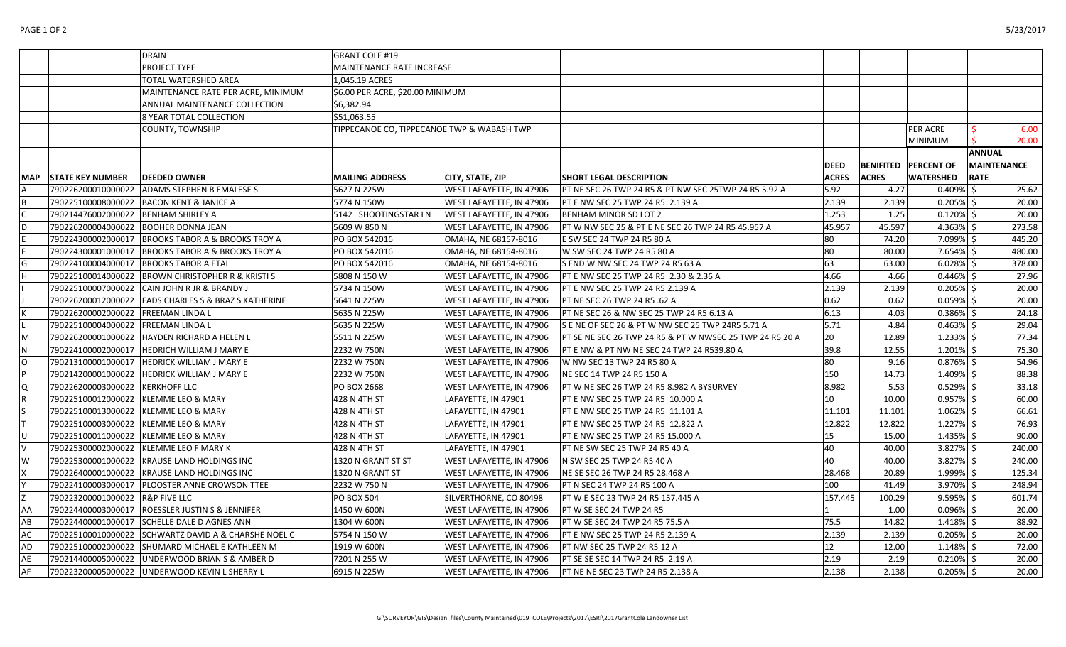|    |                                       | <b>DRAIN</b>                                         | <b>GRANT COLE #19</b>                      |                                 |                                                          |              |              |                               |                    |
|----|---------------------------------------|------------------------------------------------------|--------------------------------------------|---------------------------------|----------------------------------------------------------|--------------|--------------|-------------------------------|--------------------|
|    |                                       | PROJECT TYPE                                         | MAINTENANCE RATE INCREASE                  |                                 |                                                          |              |              |                               |                    |
|    |                                       | TOTAL WATERSHED AREA                                 | 1,045.19 ACRES                             |                                 |                                                          |              |              |                               |                    |
|    |                                       | MAINTENANCE RATE PER ACRE, MINIMUM                   | \$6.00 PER ACRE, \$20.00 MINIMUM           |                                 |                                                          |              |              |                               |                    |
|    |                                       | ANNUAL MAINTENANCE COLLECTION                        | \$6,382.94                                 |                                 |                                                          |              |              |                               |                    |
|    |                                       | 8 YEAR TOTAL COLLECTION                              | \$51,063.55                                |                                 |                                                          |              |              |                               |                    |
|    |                                       | <b>COUNTY, TOWNSHIP</b>                              | TIPPECANOE CO, TIPPECANOE TWP & WABASH TWP |                                 |                                                          |              |              | <b>PER ACRE</b>               | 6.00               |
|    |                                       |                                                      |                                            |                                 |                                                          |              |              | <b>MINIMUM</b>                | 20.00              |
|    |                                       |                                                      |                                            |                                 |                                                          |              |              |                               | <b>ANNUAL</b>      |
|    |                                       |                                                      |                                            |                                 |                                                          | <b>DEED</b>  |              | <b>BENIFITED   PERCENT OF</b> | <b>MAINTENANCE</b> |
|    | MAP STATE KEY NUMBER                  | <b>DEEDED OWNER</b>                                  | <b>MAILING ADDRESS</b>                     | CITY, STATE, ZIP                | <b>SHORT LEGAL DESCRIPTION</b>                           | <b>ACRES</b> | <b>ACRES</b> | <b>WATERSHED</b>              | <b>RATE</b>        |
|    |                                       | 790226200010000022 ADAMS STEPHEN B EMALESE S         | 5627 N 225W                                | WEST LAFAYETTE, IN 47906        | PT NE SEC 26 TWP 24 R5 & PT NW SEC 25TWP 24 R5 5.92 A    | 5.92         | 4.27         | $0.409\%$ \$                  | 25.62              |
|    |                                       | 790225100008000022 BACON KENT & JANICE A             | 5774 N 150W                                | WEST LAFAYETTE, IN 47906        | PT E NW SEC 25 TWP 24 R5 2.139 A                         | 2.139        | 2.139        | $0.205\%$ \$                  | 20.00              |
|    | 790214476002000022   BENHAM SHIRLEY A |                                                      | 5142 SHOOTINGSTAR LN                       | <b>WEST LAFAYETTE, IN 47906</b> | <b>BENHAM MINOR SD LOT 2</b>                             | 1.253        | 1.25         | $0.120\%$ \$                  | 20.00              |
|    |                                       | 790226200004000022 BOOHER DONNA JEAN                 | 5609 W 850 N                               | WEST LAFAYETTE, IN 47906        | PT W NW SEC 25 & PT E NE SEC 26 TWP 24 R5 45.957 A       | 45.957       | 45.597       | $4.363\%$ \$                  | 273.58             |
|    |                                       | 790224300002000017   BROOKS TABOR A & BROOKS TROY A  | PO BOX 542016                              | OMAHA, NE 68157-8016            | E SW SEC 24 TWP 24 R5 80 A                               | 80           | 74.20        | $7.099\%$ \$                  | 445.20             |
|    |                                       | 790224300001000017   BROOKS TABOR A & BROOKS TROY A  | PO BOX 542016                              | OMAHA, NE 68154-8016            | W SW SEC 24 TWP 24 R5 80 A                               | 80           | 80.00        | $7.654\%$ \$                  | 480.00             |
|    |                                       | 790224100004000017   BROOKS TABOR A ETAL             | PO BOX 542016                              | OMAHA, NE 68154-8016            | S END W NW SEC 24 TWP 24 R5 63 A                         | 63           | 63.00        | $6.028\%$ \$                  | 378.00             |
|    |                                       | 790225100014000022 BROWN CHRISTOPHER R & KRISTI S    | 5808 N 150 W                               | WEST LAFAYETTE, IN 47906        | PT E NW SEC 25 TWP 24 R5 2.30 & 2.36 A                   | 4.66         | 4.66         | $0.446\%$ \$                  | 27.96              |
|    | 790225100007000022                    | CAIN JOHN R JR & BRANDY J                            | 5734 N 150W                                | WEST LAFAYETTE, IN 47906        | PT E NW SEC 25 TWP 24 R5 2.139 A                         | 2.139        | 2.139        | $0.205\%$ \$                  | 20.00              |
|    |                                       | 790226200012000022 EADS CHARLES S & BRAZ S KATHERINE | 5641 N 225W                                | WEST LAFAYETTE, IN 47906        | PT NE SEC 26 TWP 24 R5 .62 A                             | 0.62         | 0.62         | $0.059%$ \$                   | 20.00              |
|    | 790226200002000022                    | <b>FREEMAN LINDA L</b>                               | 5635 N 225W                                | WEST LAFAYETTE, IN 47906        | PT NE SEC 26 & NW SEC 25 TWP 24 R5 6.13 A                | 6.13         | 4.03         | 0.386%                        | 24.18              |
|    | 790225100004000022 FREEMAN LINDA L    |                                                      | 5635 N 225W                                | WEST LAFAYETTE, IN 47906        | S E NE OF SEC 26 & PT W NW SEC 25 TWP 24R5 5.71 A        | 5.71         | 4.84         | $0.463\%$ \$                  | 29.04              |
| М  | 790226200001000022                    | HAYDEN RICHARD A HELEN L                             | 5511 N 225W                                | WEST LAFAYETTE, IN 47906        | PT SE NE SEC 26 TWP 24 R5 & PT W NWSEC 25 TWP 24 R5 20 A | 20           | 12.89        | $1.233\%$ \$                  | 77.34              |
|    | 790224100002000017                    | <b>HEDRICH WILLIAM J MARY E</b>                      | 2232 W 750N                                | WEST LAFAYETTE, IN 47906        | PT E NW & PT NW NE SEC 24 TWP 24 R539.80 A               | 39.8         | 12.55        | 1.201%                        | 75.30              |
| O  |                                       | 790213100001000017   HEDRICK WILLIAM J MARY E        | 2232 W 750N                                | WEST LAFAYETTE, IN 47906        | W NW SEC 13 TWP 24 R5 80 A                               | 80           | 9.16         | $0.876\%$ \$                  | 54.96              |
|    | 790214200001000022                    | HEDRICK WILLIAM J MARY E                             | 2232 W 750N                                | WEST LAFAYETTE, IN 47906        | NE SEC 14 TWP 24 R5 150 A                                | 150          | 14.73        | 1.409%                        | 88.38              |
| Q  | 790226200003000022 KERKHOFF LLC       |                                                      | PO BOX 2668                                | WEST LAFAYETTE, IN 47906        | PT W NE SEC 26 TWP 24 R5 8.982 A BYSURVEY                | 8.982        | 5.53         | $0.529%$ \$                   | 33.18              |
|    | 790225100012000022 KLEMME LEO & MARY  |                                                      | 428 N 4TH ST                               | LAFAYETTE, IN 47901             | PT E NW SEC 25 TWP 24 R5 10.000 A                        | 10           | 10.00        | 0.957%                        | 60.00              |
|    | 790225100013000022 KLEMME LEO & MARY  |                                                      | 428 N 4TH ST                               | LAFAYETTE, IN 47901             | PT E NW SEC 25 TWP 24 R5 11.101 A                        | 11.101       | 11.101       | $1.062\%$ \$                  | 66.61              |
|    | 790225100003000022 KLEMME LEO & MARY  |                                                      | 428 N 4TH ST                               | LAFAYETTE, IN 47901             | PT E NW SEC 25 TWP 24 R5 12.822 A                        | 12.822       | 12.822       | $1.227\%$ \$                  | 76.93              |
|    | 790225100011000022 KLEMME LEO & MARY  |                                                      | 428 N 4TH ST                               | LAFAYETTE, IN 47901             | PT E NW SEC 25 TWP 24 R5 15.000 A                        | 15           | 15.00        | $1.435\%$ \$                  | 90.00              |
|    |                                       | 790225300002000022 KLEMME LEO F MARY K               | 428 N 4TH ST                               | LAFAYETTE, IN 47901             | PT NE SW SEC 25 TWP 24 R5 40 A                           | 40           | 40.00        | 3.827%                        | 240.00             |
| w  | 790225300001000022                    | <b>KRAUSE LAND HOLDINGS INC</b>                      | 1320 N GRANT ST ST                         | WEST LAFAYETTE, IN 47906        | N SW SEC 25 TWP 24 R5 40 A                               | 40           | 40.00        | $3.827\%$ \$                  | 240.00             |
|    |                                       | 790226400001000022 KRAUSE LAND HOLDINGS INC          | 1320 N GRANT ST                            | WEST LAFAYETTE, IN 47906        | NE SE SEC 26 TWP 24 R5 28.468 A                          | 28.468       | 20.89        | $1.999%$ \$                   | 125.34             |
|    |                                       | 790224100003000017   PLOOSTER ANNE CROWSON TTEE      | 2232 W 750 N                               | WEST LAFAYETTE, IN 47906        | PT N SEC 24 TWP 24 R5 100 A                              | 100          | 41.49        | $3.970\%$ \$                  | 248.94             |
|    | 790223200001000022 R&P FIVE LLC       |                                                      | PO BOX 504                                 | SILVERTHORNE, CO 80498          | PT W E SEC 23 TWP 24 R5 157.445 A                        | 157.445      | 100.29       | $9.595\%$ \$                  | 601.74             |
| AA |                                       | 790224400003000017   ROESSLER JUSTIN S & JENNIFER    | 1450 W 600N                                | WEST LAFAYETTE, IN 47906        | PT W SE SEC 24 TWP 24 R5                                 |              | 1.00         | $0.096\%$ \$                  | 20.00              |
| AB |                                       | 790224400001000017 SCHELLE DALE D AGNES ANN          | 1304 W 600N                                | WEST LAFAYETTE, IN 47906        | PT W SE SEC 24 TWP 24 R5 75.5 A                          | 75.5         | 14.82        | $1.418\%$ \$                  | 88.92              |
| АC |                                       | 790225100010000022 SCHWARTZ DAVID A & CHARSHE NOEL C | 5754 N 150 W                               | WEST LAFAYETTE, IN 47906        | PT E NW SEC 25 TWP 24 R5 2.139 A                         | 2.139        | 2.139        | $0.205\%$ \$                  | 20.00              |
| AD |                                       | 790225100002000022 SHUMARD MICHAEL E KATHLEEN M      | 1919 W 600N                                | WEST LAFAYETTE, IN 47906        | PT NW SEC 25 TWP 24 R5 12 A                              | 12           | 12.00        | $1.148\%$ \$                  | 72.00              |
| AE |                                       | 790214400005000022 UNDERWOOD BRIAN S & AMBER D       | 7201 N 255 W                               | WEST LAFAYETTE, IN 47906        | PT SE SE SEC 14 TWP 24 R5 2.19 A                         | 2.19         | 2.19         | $0.210\%$ \$                  | 20.00              |
| AF |                                       | 790223200005000022 UNDERWOOD KEVIN L SHERRY L        | 6915 N 225W                                | WEST LAFAYETTE, IN 47906        | PT NE NE SEC 23 TWP 24 R5 2.138 A                        | 2.138        | 2.138        | $0.205\%$ \$                  | 20.00              |